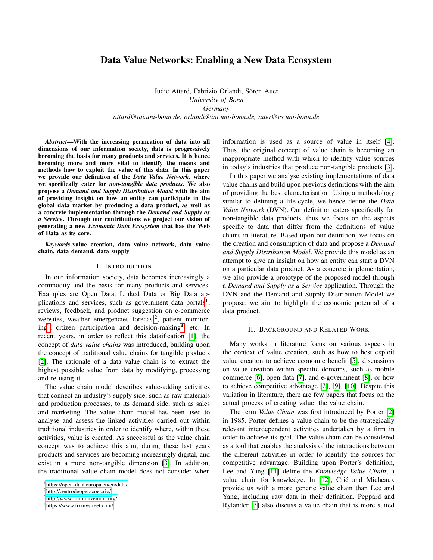# <span id="page-0-1"></span>Data Value Networks: Enabling a New Data Ecosystem

Judie Attard, Fabrizio Orlandi, Sören Auer *University of Bonn Germany attard@iai.uni-bonn.de, orlandi@iai.uni-bonn.de, auer@cs.uni-bonn.de*

*Abstract*—With the increasing permeation of data into all dimensions of our information society, data is progressively becoming the basis for many products and services. It is hence becoming more and more vital to identify the means and methods how to exploit the value of this data. In this paper we provide our definition of the *Data Value Network*, where we specifically cater for *non-tangible data products*. We also propose a *Demand and Supply Distribution Model* with the aim of providing insight on how an entity can participate in the global data market by producing a data product, as well as a concrete implementation through the *Demand and Supply as a Service*. Through our contributions we project our vision of generating a new *Economic Data Ecosystem* that has the Web of Data as its core.

*Keywords*-value creation, data value network, data value chain, data demand, data supply

#### I. INTRODUCTION

In our information society, data becomes increasingly a commodity and the basis for many products and services. Examples are Open Data, Linked Data or Big Data applications and services, such as government data portals<sup>1</sup>, reviews, feedback, and product suggestion on e-commerce websites, weather emergencies forecast<sup>2</sup>, patient monitor $ing<sup>3</sup>$ , citizen participation and decision-making<sup>4</sup>, etc. In recent years, in order to reflect this dataification [\[1\]](#page-3-0), the concept of *data value chains* was introduced, building upon the concept of traditional value chains for tangible products [\[2\]](#page-3-1). The rationale of a data value chain is to extract the highest possible value from data by modifying, processing and re-using it.

The value chain model describes value-adding activities that connect an industry's supply side, such as raw materials and production processes, to its demand side, such as sales and marketing. The value chain model has been used to analyse and assess the linked activities carried out within traditional industries in order to identify where, within these activities, value is created. As successful as the value chain concept was to achieve this aim, during these last years products and services are becoming increasingly digital, and exist in a more non-tangible dimension [\[3\]](#page-3-2). In addition, the traditional value chain model does not consider when information is used as a source of value in itself [\[4\]](#page-3-3). Thus, the original concept of value chain is becoming an inappropriate method with which to identify value sources in today's industries that produce non-tangible products [\[3\]](#page-3-2).

In this paper we analyse existing implementations of data value chains and build upon previous definitions with the aim of providing the best characterisation. Using a methodology similar to defining a life-cycle, we hence define the *Data Value Network* (DVN). Our definition caters specifically for non-tangible data products, thus we focus on the aspects specific to data that differ from the definitions of value chains in literature. Based upon our definition, we focus on the creation and consumption of data and propose a *Demand and Supply Distribution Model*. We provide this model as an attempt to give an insight on how an entity can start a DVN on a particular data product. As a concrete implementation, we also provide a prototype of the proposed model through a *Demand and Supply as a Service* application. Through the DVN and the Demand and Supply Distribution Model we propose, we aim to highlight the economic potential of a data product.

### II. BACKGROUND AND RELATED WORK

<span id="page-0-0"></span>Many works in literature focus on various aspects in the context of value creation, such as how to best exploit value creation to achieve economic benefit [\[5\]](#page-3-4), discussions on value creation within specific domains, such as mobile commerce [\[6\]](#page-3-5), open data [\[7\]](#page-3-6), and e-government [\[8\]](#page-3-7), or how to achieve competitive advantage [\[2\]](#page-3-1), [\[9\]](#page-3-8), [\[10\]](#page-3-9). Despite this variation in literature, there are few papers that focus on the actual process of creating value: the value chain.

The term *Value Chain* was first introduced by Porter [\[2\]](#page-3-1) in 1985. Porter defines a value chain to be the strategically relevant interdependent activities undertaken by a firm in order to achieve its goal. The value chain can be considered as a tool that enables the analysis of the interactions between the different activities in order to identify the sources for competitive advantage. Building upon Porter's definition, Lee and Yang [\[11\]](#page-3-10) define the *Knowledge Value Chain*; a value chain for knowledge. In [\[12\]](#page-3-11), Crié and Micheaux provide us with a more generic value chain than Lee and Yang, including raw data in their definition. Peppard and Rylander [\[3\]](#page-3-2) also discuss a value chain that is more suited

<sup>1</sup><https://open-data.europa.eu/en/data/>

<sup>2</sup><http://centrodeoperacoes.rio/>

<sup>3</sup>[http://www.immunizeindia.org/]( http://www.immunizeindia.org/)

<sup>4</sup><https://www.fixmystreet.com/>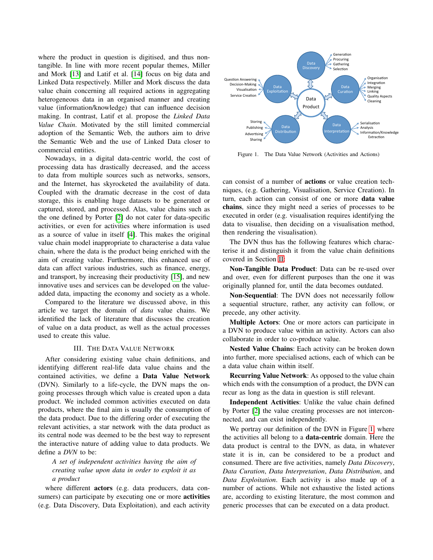where the product in question is digitised, and thus nontangible. In line with more recent popular themes, Miller and Mork [\[13\]](#page-3-12) and Latif et al. [\[14\]](#page-3-13) focus on big data and Linked Data respectively. Miller and Mork discuss the data value chain concerning all required actions in aggregating heterogeneous data in an organised manner and creating value (information/knowledge) that can influence decision making. In contrast, Latif et al. propose the *Linked Data Value Chain*. Motivated by the still limited commercial adoption of the Semantic Web, the authors aim to drive the Semantic Web and the use of Linked Data closer to commercial entities.

Nowadays, in a digital data-centric world, the cost of processing data has drastically decreased, and the access to data from multiple sources such as networks, sensors, and the Internet, has skyrocketed the availability of data. Coupled with the dramatic decrease in the cost of data storage, this is enabling huge datasets to be generated or captured, stored, and processed. Alas, value chains such as the one defined by Porter [\[2\]](#page-3-1) do not cater for data-specific activities, or even for activities where information is used as a source of value in itself [\[4\]](#page-3-3). This makes the original value chain model inappropriate to characterise a data value chain, where the data is the product being enriched with the aim of creating value. Furthermore, this enhanced use of data can affect various industries, such as finance, energy, and transport, by increasing their productivity [\[15\]](#page-3-14), and new innovative uses and services can be developed on the valueadded data, impacting the economy and society as a whole.

Compared to the literature we discussed above, in this article we target the domain of *data* value chains. We identified the lack of literature that discusses the creation of value on a data product, as well as the actual processes used to create this value.

### III. THE DATA VALUE NETWORK

After considering existing value chain definitions, and identifying different real-life data value chains and the contained activities, we define a Data Value Network (DVN). Similarly to a life-cycle, the DVN maps the ongoing processes through which value is created upon a data product. We included common activities executed on data products, where the final aim is usually the consumption of the data product. Due to the differing order of executing the relevant activities, a star network with the data product as its central node was deemed to be the best way to represent the interactive nature of adding value to data products. We define a *DVN* to be:

## *A set of independent activities having the aim of creating value upon data in order to exploit it as a product*

where different actors (e.g. data producers, data consumers) can participate by executing one or more **activities** (e.g. Data Discovery, Data Exploitation), and each activity



<span id="page-1-0"></span>Figure 1. The Data Value Network (Activities and Actions)

can consist of a number of actions or value creation techniques, (e.g. Gathering, Visualisation, Service Creation). In turn, each action can consist of one or more data value chains, since they might need a series of processes to be executed in order (e.g. visualisation requires identifying the data to visualise, then deciding on a visualisation method, then rendering the visualisation).

The DVN thus has the following features which characterise it and distinguish it from the value chain definitions covered in Section [II:](#page-0-0)

Non-Tangible Data Product: Data can be re-used over and over, even for different purposes than the one it was originally planned for, until the data becomes outdated.

Non-Sequential: The DVN does not necessarily follow a sequential structure, rather, any activity can follow, or precede, any other activity.

Multiple Actors: One or more actors can participate in a DVN to produce value within an activity. Actors can also collaborate in order to co-produce value.

Nested Value Chains: Each activity can be broken down into further, more specialised actions, each of which can be a data value chain within itself.

Recurring Value Network: As opposed to the value chain which ends with the consumption of a product, the DVN can recur as long as the data in question is still relevant.

Independent Activities: Unlike the value chain defined by Porter [\[2\]](#page-3-1) the value creating processes are not interconnected, and can exist independently.

We portray our definition of the DVN in Figure [1,](#page-1-0) where the activities all belong to a data-centric domain. Here the data product is central to the DVN, as data, in whatever state it is in, can be considered to be a product and consumed. There are five activities, namely *Data Discovery*, *Data Curation*, *Data Interpretation*, *Data Distribution*, and *Data Exploitation*. Each activity is also made up of a number of actions. While not exhaustive the listed actions are, according to existing literature, the most common and generic processes that can be executed on a data product.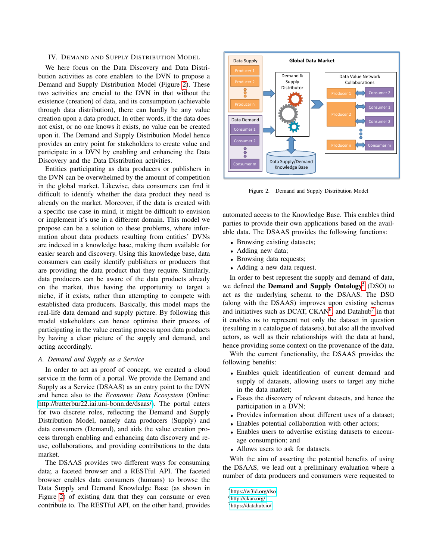### IV. DEMAND AND SUPPLY DISTRIBUTION MODEL

We here focus on the Data Discovery and Data Distribution activities as core enablers to the DVN to propose a Demand and Supply Distribution Model (Figure [2\)](#page-2-0). These two activities are crucial to the DVN in that without the existence (creation) of data, and its consumption (achievable through data distribution), there can hardly be any value creation upon a data product. In other words, if the data does not exist, or no one knows it exists, no value can be created upon it. The Demand and Supply Distribution Model hence provides an entry point for stakeholders to create value and participate in a DVN by enabling and enhancing the Data Discovery and the Data Distribution activities.

Entities participating as data producers or publishers in the DVN can be overwhelmed by the amount of competition in the global market. Likewise, data consumers can find it difficult to identify whether the data product they need is already on the market. Moreover, if the data is created with a specific use case in mind, it might be difficult to envision or implement it's use in a different domain. This model we propose can be a solution to these problems, where information about data products resulting from entities' DVNs are indexed in a knowledge base, making them available for easier search and discovery. Using this knowledge base, data consumers can easily identify publishers or producers that are providing the data product that they require. Similarly, data producers can be aware of the data products already on the market, thus having the opportunity to target a niche, if it exists, rather than attempting to compete with established data producers. Basically, this model maps the real-life data demand and supply picture. By following this model stakeholders can hence optimise their process of participating in the value creating process upon data products by having a clear picture of the supply and demand, and acting accordingly.

### *A. Demand and Supply as a Service*

In order to act as proof of concept, we created a cloud service in the form of a portal. We provide the Demand and Supply as a Service (DSAAS) as an entry point to the DVN and hence also to the *Economic Data Ecosystem* (Online: [http://butterbur22.iai.uni-bonn.de/dsaas/\)](http://butterbur22.iai.uni-bonn.de/dsaas/). The portal caters for two discrete roles, reflecting the Demand and Supply Distribution Model, namely data producers (Supply) and data consumers (Demand), and aids the value creation process through enabling and enhancing data discovery and reuse, collaborations, and providing contributions to the data market.

The DSAAS provides two different ways for consuming data; a faceted browser and a RESTful API. The faceted browser enables data consumers (humans) to browse the Data Supply and Demand Knowledge Base (as shown in Figure [2\)](#page-2-0) of existing data that they can consume or even contribute to. The RESTful API, on the other hand, provides



<span id="page-2-0"></span>Figure 2. Demand and Supply Distribution Model

automated access to the Knowledge Base. This enables third parties to provide their own applications based on the available data. The DSAAS provides the following functions:

- Browsing existing datasets;
- Adding new data;
- Browsing data requests;
- Adding a new data request.

In order to best represent the supply and demand of data, we defined the Demand and Supply Ontology<sup>[5](#page-0-1)</sup> (DSO) to act as the underlying schema to the DSAAS. The DSO (along with the DSAAS) improves upon existing schemas and initiatives such as DCAT, CKAN<sup>[6](#page-0-1)</sup>, and Datahub<sup>[7](#page-0-1)</sup> in that it enables us to represent not only the dataset in question (resulting in a catalogue of datasets), but also all the involved actors, as well as their relationships with the data at hand, hence providing some context on the provenance of the data.

With the current functionality, the DSAAS provides the following benefits:

- Enables quick identification of current demand and supply of datasets, allowing users to target any niche in the data market;
- Eases the discovery of relevant datasets, and hence the participation in a DVN;
- Provides information about different uses of a dataset;
- Enables potential collaboration with other actors;
- Enables users to advertise existing datasets to encourage consumption; and
- Allows users to ask for datasets.

With the aim of asserting the potential benefits of using the DSAAS, we lead out a preliminary evaluation where a number of data producers and consumers were requested to

<sup>5</sup><https://w3id.org/dso>

<sup>6</sup><http://ckan.org/>

<sup>7</sup><https://datahub.io/>